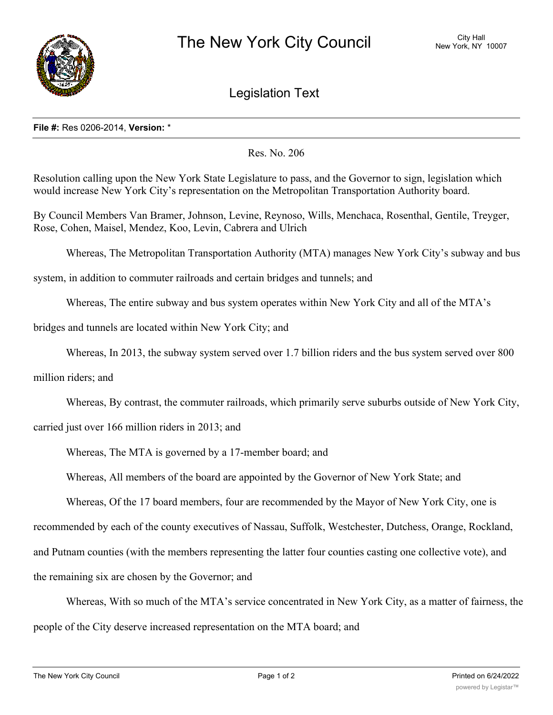

## Legislation Text

## **File #:** Res 0206-2014, **Version:** \*

Res. No. 206

Resolution calling upon the New York State Legislature to pass, and the Governor to sign, legislation which would increase New York City's representation on the Metropolitan Transportation Authority board.

By Council Members Van Bramer, Johnson, Levine, Reynoso, Wills, Menchaca, Rosenthal, Gentile, Treyger, Rose, Cohen, Maisel, Mendez, Koo, Levin, Cabrera and Ulrich

Whereas, The Metropolitan Transportation Authority (MTA) manages New York City's subway and bus

system, in addition to commuter railroads and certain bridges and tunnels; and

Whereas, The entire subway and bus system operates within New York City and all of the MTA's

bridges and tunnels are located within New York City; and

Whereas, In 2013, the subway system served over 1.7 billion riders and the bus system served over 800

million riders; and

Whereas, By contrast, the commuter railroads, which primarily serve suburbs outside of New York City,

carried just over 166 million riders in 2013; and

Whereas, The MTA is governed by a 17-member board; and

Whereas, All members of the board are appointed by the Governor of New York State; and

Whereas, Of the 17 board members, four are recommended by the Mayor of New York City, one is

recommended by each of the county executives of Nassau, Suffolk, Westchester, Dutchess, Orange, Rockland,

and Putnam counties (with the members representing the latter four counties casting one collective vote), and

the remaining six are chosen by the Governor; and

Whereas, With so much of the MTA's service concentrated in New York City, as a matter of fairness, the people of the City deserve increased representation on the MTA board; and